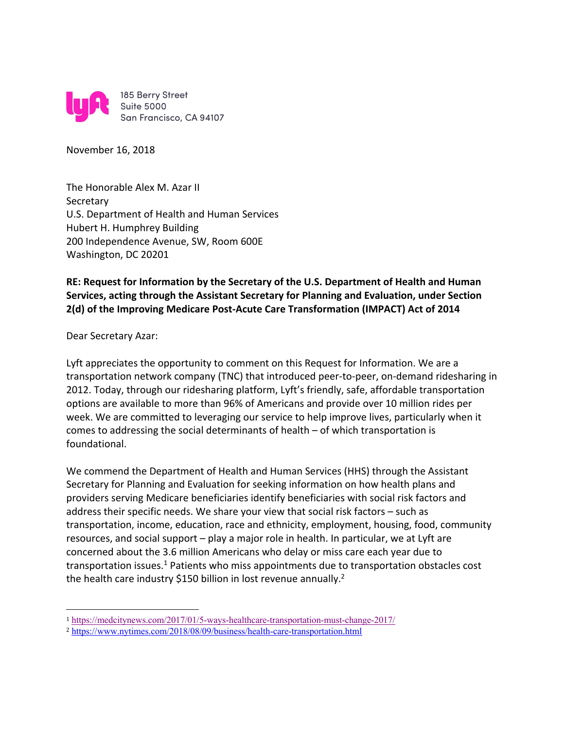

November 16, 2018

The Honorable Alex M. Azar II **Secretary** U.S. Department of Health and Human Services Hubert H. Humphrey Building 200 Independence Avenue, SW, Room 600E Washington, DC 20201

## **RE: Request for Information by the Secretary of the U.S. Department of Health and Human Services, acting through the Assistant Secretary for Planning and Evaluation, under Section 2(d) of the Improving Medicare Post-Acute Care Transformation (IMPACT) Act of 2014**

## Dear Secretary Azar:

 

Lyft appreciates the opportunity to comment on this Request for Information. We are a transportation network company (TNC) that introduced peer-to-peer, on-demand ridesharing in 2012. Today, through our ridesharing platform, Lyft's friendly, safe, affordable transportation options are available to more than 96% of Americans and provide over 10 million rides per week. We are committed to leveraging our service to help improve lives, particularly when it comes to addressing the social determinants of health – of which transportation is foundational.

We commend the Department of Health and Human Services (HHS) through the Assistant Secretary for Planning and Evaluation for seeking information on how health plans and providers serving Medicare beneficiaries identify beneficiaries with social risk factors and address their specific needs. We share your view that social risk factors – such as transportation, income, education, race and ethnicity, employment, housing, food, community resources, and social support – play a major role in health. In particular, we at Lyft are concerned about the 3.6 million Americans who delay or miss care each year due to transportation issues.<sup>1</sup> Patients who miss appointments due to transportation obstacles cost the health care industry \$150 billion in lost revenue annually.<sup>2</sup>

<sup>1</sup> https://medcitynews.com/2017/01/5-ways-healthcare-transportation-must-change-2017/

<sup>2</sup> https://www.nytimes.com/2018/08/09/business/health-care-transportation.html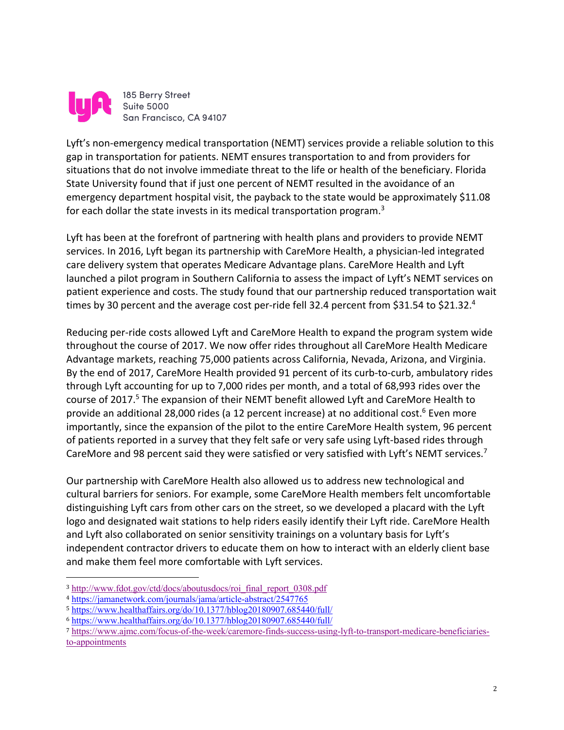

Lyft's non-emergency medical transportation (NEMT) services provide a reliable solution to this gap in transportation for patients. NEMT ensures transportation to and from providers for situations that do not involve immediate threat to the life or health of the beneficiary. Florida State University found that if just one percent of NEMT resulted in the avoidance of an emergency department hospital visit, the payback to the state would be approximately \$11.08 for each dollar the state invests in its medical transportation program.<sup>3</sup>

Lyft has been at the forefront of partnering with health plans and providers to provide NEMT services. In 2016, Lyft began its partnership with CareMore Health, a physician-led integrated care delivery system that operates Medicare Advantage plans. CareMore Health and Lyft launched a pilot program in Southern California to assess the impact of Lyft's NEMT services on patient experience and costs. The study found that our partnership reduced transportation wait times by 30 percent and the average cost per-ride fell 32.4 percent from \$31.54 to \$21.32.<sup>4</sup>

Reducing per-ride costs allowed Lyft and CareMore Health to expand the program system wide throughout the course of 2017. We now offer rides throughout all CareMore Health Medicare Advantage markets, reaching 75,000 patients across California, Nevada, Arizona, and Virginia. By the end of 2017, CareMore Health provided 91 percent of its curb-to-curb, ambulatory rides through Lyft accounting for up to 7,000 rides per month, and a total of 68,993 rides over the course of 2017.<sup>5</sup> The expansion of their NEMT benefit allowed Lyft and CareMore Health to provide an additional 28,000 rides (a 12 percent increase) at no additional cost.<sup>6</sup> Even more importantly, since the expansion of the pilot to the entire CareMore Health system, 96 percent of patients reported in a survey that they felt safe or very safe using Lyft-based rides through CareMore and 98 percent said they were satisfied or very satisfied with Lyft's NEMT services.<sup>7</sup>

Our partnership with CareMore Health also allowed us to address new technological and cultural barriers for seniors. For example, some CareMore Health members felt uncomfortable distinguishing Lyft cars from other cars on the street, so we developed a placard with the Lyft logo and designated wait stations to help riders easily identify their Lyft ride. CareMore Health and Lyft also collaborated on senior sensitivity trainings on a voluntary basis for Lyft's independent contractor drivers to educate them on how to interact with an elderly client base and make them feel more comfortable with Lyft services.

<sup>3</sup> http://www.fdot.gov/ctd/docs/aboutusdocs/roi\_final\_report\_0308.pdf

<sup>4</sup> https://jamanetwork.com/journals/jama/article-abstract/2547765

<sup>5</sup> https://www.healthaffairs.org/do/10.1377/hblog20180907.685440/full/

<sup>6</sup> https://www.healthaffairs.org/do/10.1377/hblog20180907.685440/full/

<sup>7</sup> https://www.ajmc.com/focus-of-the-week/caremore-finds-success-using-lyft-to-transport-medicare-beneficiariesto-appointments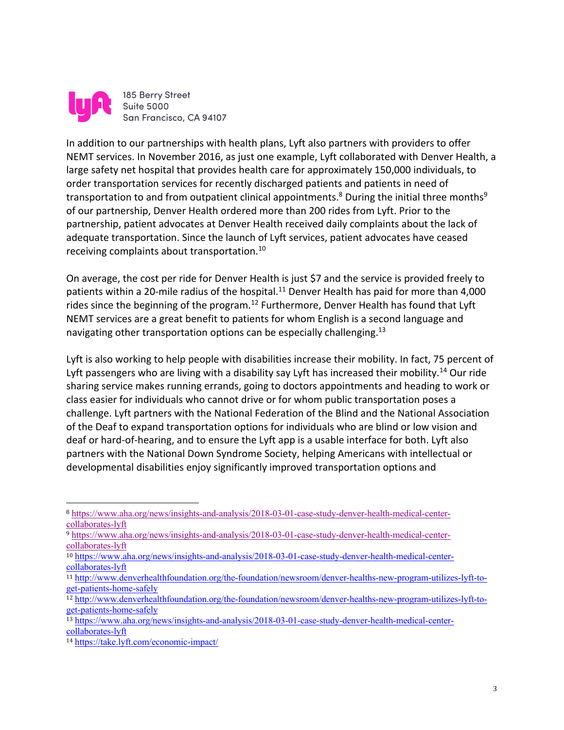

185 Berry Street **Suite 5000** San Francisco, CA 94107

In addition to our partnerships with health plans, Lyft also partners with providers to offer NEMT services. In November 2016, as just one example, Lyft collaborated with Denver Health, a large safety net hospital that provides health care for approximately 150,000 individuals, to order transportation services for recently discharged patients and patients in need of transportation to and from outpatient clinical appointments.<sup>8</sup> During the initial three months<sup>9</sup> of our partnership, Denver Health ordered more than 200 rides from Lyft. Prior to the partnership, patient advocates at Denver Health received daily complaints about the lack of adequate transportation. Since the launch of Lyft services, patient advocates have ceased receiving complaints about transportation.10

On average, the cost per ride for Denver Health is just \$7 and the service is provided freely to patients within a 20-mile radius of the hospital.<sup>11</sup> Denver Health has paid for more than 4,000 rides since the beginning of the program.<sup>12</sup> Furthermore, Denver Health has found that Lyft NEMT services are a great benefit to patients for whom English is a second language and navigating other transportation options can be especially challenging.<sup>13</sup>

Lyft is also working to help people with disabilities increase their mobility. In fact, 75 percent of Lyft passengers who are living with a disability say Lyft has increased their mobility.<sup>14</sup> Our ride sharing service makes running errands, going to doctors appointments and heading to work or class easier for individuals who cannot drive or for whom public transportation poses a challenge. Lyft partners with the National Federation of the Blind and the National Association of the Deaf to expand transportation options for individuals who are blind or low vision and deaf or hard-of-hearing, and to ensure the Lyft app is a usable interface for both. Lyft also partners with the National Down Syndrome Society, helping Americans with intellectual or developmental disabilities enjoy significantly improved transportation options and

<sup>8</sup> https://www.aha.org/news/insights-and-analysis/2018-03-01-case-study-denver-health-medical-centercollaborates-lyft

<sup>9</sup> https://www.aha.org/news/insights-and-analysis/2018-03-01-case-study-denver-health-medical-centercollaborates-lyft

<sup>10</sup> https://www.aha.org/news/insights-and-analysis/2018-03-01-case-study-denver-health-medical-centercollaborates-lyft

<sup>11</sup> http://www.denverhealthfoundation.org/the-foundation/newsroom/denver-healths-new-program-utilizes-lyft-toget-patients-home-safely

<sup>12</sup> http://www.denverhealthfoundation.org/the-foundation/newsroom/denver-healths-new-program-utilizes-lyft-toget-patients-home-safely

<sup>13</sup> https://www.aha.org/news/insights-and-analysis/2018-03-01-case-study-denver-health-medical-centercollaborates-lyft

<sup>14</sup> https://take.lyft.com/economic-impact/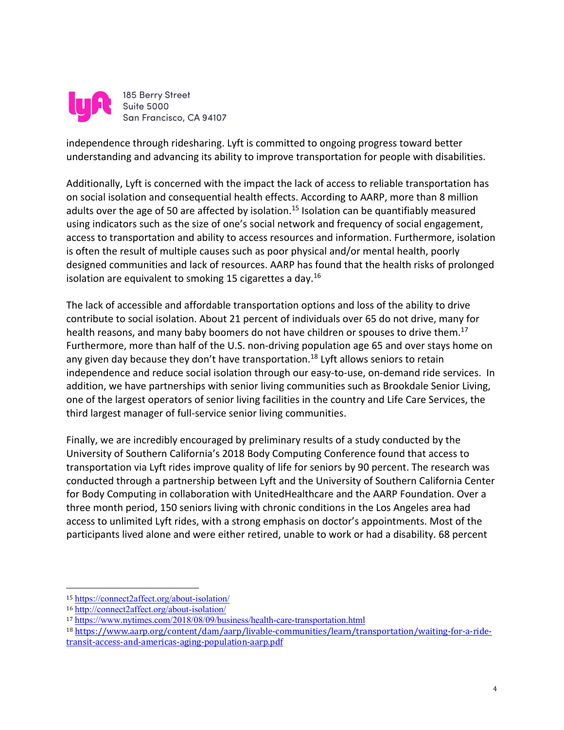

independence through ridesharing. Lyft is committed to ongoing progress toward better understanding and advancing its ability to improve transportation for people with disabilities.

Additionally, Lyft is concerned with the impact the lack of access to reliable transportation has on social isolation and consequential health effects. According to AARP, more than 8 million adults over the age of 50 are affected by isolation.<sup>15</sup> Isolation can be quantifiably measured using indicators such as the size of one's social network and frequency of social engagement, access to transportation and ability to access resources and information. Furthermore, isolation is often the result of multiple causes such as poor physical and/or mental health, poorly designed communities and lack of resources. AARP has found that the health risks of prolonged isolation are equivalent to smoking 15 cigarettes a day.<sup>16</sup>

The lack of accessible and affordable transportation options and loss of the ability to drive contribute to social isolation. About 21 percent of individuals over 65 do not drive, many for health reasons, and many baby boomers do not have children or spouses to drive them.<sup>17</sup> Furthermore, more than half of the U.S. non-driving population age 65 and over stays home on any given day because they don't have transportation.<sup>18</sup> Lyft allows seniors to retain independence and reduce social isolation through our easy-to-use, on-demand ride services. In addition, we have partnerships with senior living communities such as Brookdale Senior Living, one of the largest operators of senior living facilities in the country and Life Care Services, the third largest manager of full-service senior living communities.

Finally, we are incredibly encouraged by preliminary results of a study conducted by the University of Southern California's 2018 Body Computing Conference found that access to transportation via Lyft rides improve quality of life for seniors by 90 percent. The research was conducted through a partnership between Lyft and the University of Southern California Center for Body Computing in collaboration with UnitedHealthcare and the AARP Foundation. Over a three month period, 150 seniors living with chronic conditions in the Los Angeles area had access to unlimited Lyft rides, with a strong emphasis on doctor's appointments. Most of the participants lived alone and were either retired, unable to work or had a disability. 68 percent

<sup>15</sup> https://connect2affect.org/about-isolation/

<sup>16</sup> http://connect2affect.org/about-isolation/

<sup>17</sup> https://www.nytimes.com/2018/08/09/business/health-care-transportation.html

<sup>18</sup> https://www.aarp.org/content/dam/aarp/livable-communities/learn/transportation/waiting-for-a-ridetransit-access-and-americas-aging-population-aarp.pdf